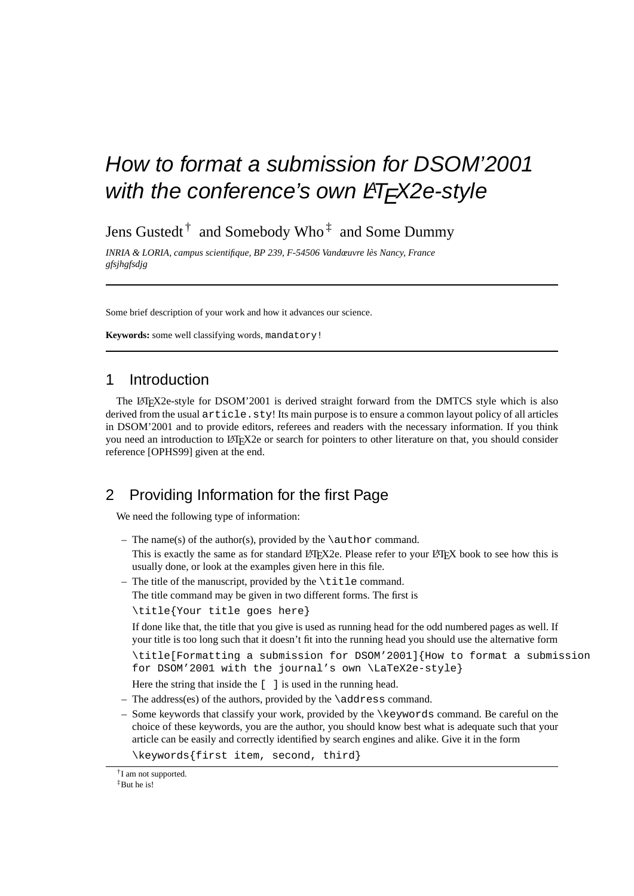# How to format a submission for DSOM'2001 with the conference's own LHFX2e-style

Jens Gustedt  $^{\dagger}~$  and Somebody Who  $^{\ddagger}~$  and Some Dummy

*INRIA & LORIA, campus scientifique, BP 239, F-54506 Vandœuvre les Nancy, France ` gfsjhgfsdjg*

Some brief description of your work and how it advances our science.

**Keywords:** some well classifying words, mandatory!

### 1 Introduction

The LATEX2e-style for DSOM'2001 is derived straight forward from the DMTCS style which is also derived from the usual  $article$ .  $sty!$  Its main purpose is to ensure a common layout policy of all articles in DSOM'2001 and to provide editors, referees and readers with the necessary information. If you think you need an introduction to LATEX2e or search for pointers to other literature on that, you should consider reference [OPHS99] given at the end.

### 2 Providing Information for the first Page

We need the following type of information:

– The name(s) of the author(s), provided by the  $\atop$  author command.

This is exactly the same as for standard LATEX2e. Please refer to your LATEX book to see how this is usually done, or look at the examples given here in this file.

 $-$  The title of the manuscript, provided by the  $\tilde$  title command.

```
The title command may be given in two different forms. The first is
```
\title{Your title goes here}

If done like that, the title that you give is used as running head for the odd numbered pages as well. If your title is too long such that it doesn't fit into the running head you should use the alternative form

```
\title[Formatting a submission for DSOM'2001]{How to format a submission
for DSOM'2001 with the journal's own \LaTeX2e-style}
```
Here the string that inside the [ ] is used in the running head.

- The address(es) of the authors, provided by the  $\ad$ ress command.
- Some keywords that classify your work, provided by the \keywords command. Be careful on the choice of these keywords, you are the author, you should know best what is adequate such that your article can be easily and correctly identified by search engines and alike. Give it in the form

\keywords{first item, second, third}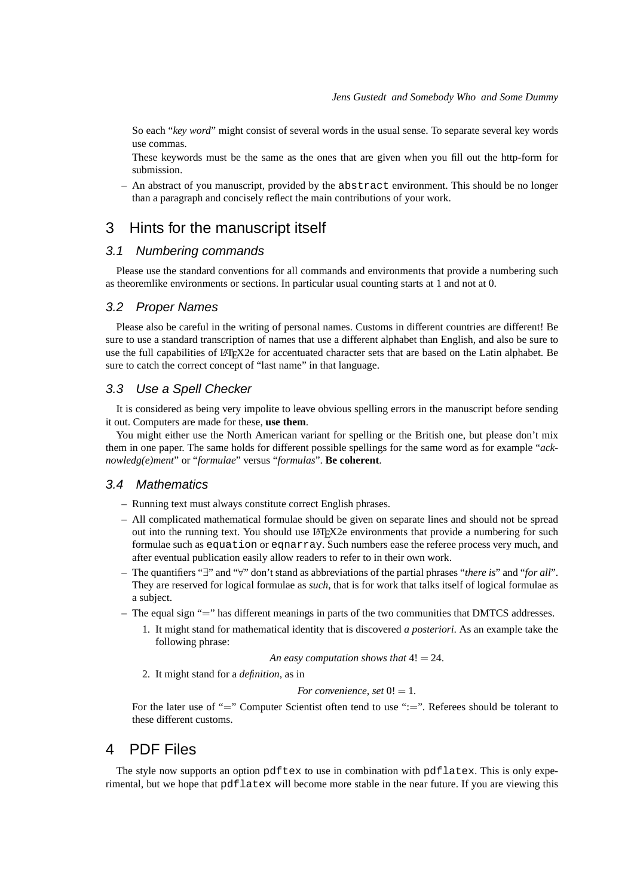So each "*key word*" might consist of several words in the usual sense. To separate several key words use commas.

These keywords must be the same as the ones that are given when you fill out the http-form for submission.

– An abstract of you manuscript, provided by the abstract environment. This should be no longer than a paragraph and concisely reflect the main contributions of your work.

### 3 Hints for the manuscript itself

#### 3.1 Numbering commands

Please use the standard conventions for all commands and environments that provide a numbering such as theoremlike environments or sections. In particular usual counting starts at 1 and not at 0.

#### 3.2 Proper Names

Please also be careful in the writing of personal names. Customs in different countries are different! Be sure to use a standard transcription of names that use a different alphabet than English, and also be sure to use the full capabilities of LATEX2e for accentuated character sets that are based on the Latin alphabet. Be sure to catch the correct concept of "last name" in that language.

#### 3.3 Use a Spell Checker

It is considered as being very impolite to leave obvious spelling errors in the manuscript before sending it out. Computers are made for these, **use them**.

You might either use the North American variant for spelling or the British one, but please don't mix them in one paper. The same holds for different possible spellings for the same word as for example "*acknowledg(e)ment*" or "*formulae*" versus "*formulas*". **Be coherent**.

#### 3.4 Mathematics

- Running text must always constitute correct English phrases.
- All complicated mathematical formulae should be given on separate lines and should not be spread out into the running text. You should use LAT<sub>EX2</sub> environments that provide a numbering for such formulae such as equation or eqnarray. Such numbers ease the referee process very much, and after eventual publication easily allow readers to refer to in their own work.
- The quantifiers "∃" and "∀" don't stand as abbreviations of the partial phrases "*there is*" and "*for all*". They are reserved for logical formulae as *such*, that is for work that talks itself of logical formulae as a subject.
- The equal sign "=" has different meanings in parts of the two communities that DMTCS addresses.
	- 1. It might stand for mathematical identity that is discovered *a posteriori*. As an example take the following phrase:

*An easy computation shows that* 4! = 24.

2. It might stand for a *definition*, as in

*For convenience, set*  $0! = 1$ *.* 

For the later use of "=" Computer Scientist often tend to use ":=". Referees should be tolerant to these different customs.

### 4 PDF Files

The style now supports an option pdftex to use in combination with pdflatex. This is only experimental, but we hope that pdflatex will become more stable in the near future. If you are viewing this